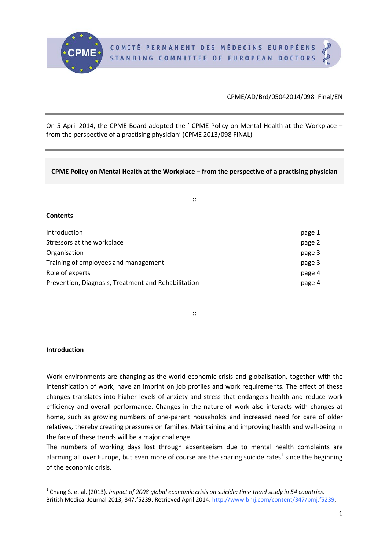

## CPME/AD/Brd/05042014/098\_Final/EN

On 5 April 2014, the CPME Board adopted the ' CPME Policy on Mental Health at the Workplace – from the perspective of a practising physician' (CPME 2013/098 FINAL)

## **CPME Policy on Mental Health at the Workplace – from the perspective of a practising physician**

**::**

### **Contents**

| Introduction                                        | page 1 |
|-----------------------------------------------------|--------|
| Stressors at the workplace                          | page 2 |
| Organisation                                        | page 3 |
| Training of employees and management                | page 3 |
| Role of experts                                     | page 4 |
| Prevention, Diagnosis, Treatment and Rehabilitation | page 4 |

**::**

## **Introduction**

Work environments are changing as the world economic crisis and globalisation, together with the intensification of work, have an imprint on job profiles and work requirements. The effect of these changes translates into higher levels of anxiety and stress that endangers health and reduce work efficiency and overall performance. Changes in the nature of work also interacts with changes at home, such as growing numbers of one-parent households and increased need for care of older relatives, thereby creating pressures on families. Maintaining and improving health and well-being in the face of these trends will be a major challenge.

The numbers of working days lost through absenteeism due to mental health complaints are alarming all over Europe, but even more of course are the soaring suicide rates<sup>[1](#page-0-0)</sup> since the beginning of the economic crisis.

<span id="page-0-0"></span> <sup>1</sup> Chang S. et al. (2013). *Impact of 2008 global economic crisis on suicide: time trend study in 54 countries*. British Medical Journal 2013; 347:f5239. Retrieved April 2014: http://www.bmj.com/content/347/bmj.f5239.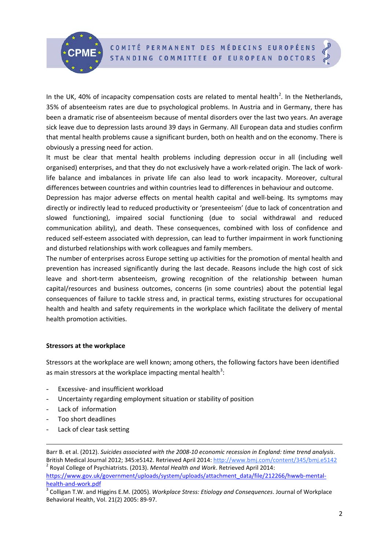COMITÉ PERMANENT DES MÉDECINS EUROPÉENS STANDING COMMITTEE OF EUROPEAN DOCTORS

In the UK, 40% of incapacity compensation costs are related to mental health<sup>[2](#page-1-0)</sup>. In the Netherlands, 35% of absenteeism rates are due to psychological problems. In Austria and in Germany, there has been a dramatic rise of absenteeism because of mental disorders over the last two years. An average sick leave due to depression lasts around 39 days in Germany. All European data and studies confirm that mental health problems cause a significant burden, both on health and on the economy. There is obviously a pressing need for action.

It must be clear that mental health problems including depression occur in all (including well organised) enterprises, and that they do not exclusively have a work-related origin. The lack of worklife balance and imbalances in private life can also lead to work incapacity. Moreover, cultural differences between countries and within countries lead to differences in behaviour and outcome.

Depression has major adverse effects on mental health capital and well-being. Its symptoms may directly or indirectly lead to reduced productivity or 'presenteeism' (due to lack of concentration and slowed functioning), impaired social functioning (due to social withdrawal and reduced communication ability), and death. These consequences, combined with loss of confidence and reduced self-esteem associated with depression, can lead to further impairment in work functioning and disturbed relationships with work colleagues and family members.

The number of enterprises across Europe setting up activities for the promotion of mental health and prevention has increased significantly during the last decade. Reasons include the high cost of sick leave and short-term absenteeism, growing recognition of the relationship between human capital/resources and business outcomes, concerns (in some countries) about the potential legal consequences of failure to tackle stress and, in practical terms, existing structures for occupational health and health and safety requirements in the workplace which facilitate the delivery of mental health promotion activities.

## **Stressors at the workplace**

Stressors at the workplace are well known; among others, the following factors have been identified as main stressors at the workplace impacting mental health<sup>[3](#page-1-1)</sup>:

- Excessive- and insufficient workload
- Uncertainty regarding employment situation or stability of position
- Lack of information
- Too short deadlines

**.** 

Lack of clear task setting

<span id="page-1-0"></span>Barr B. et al. (2012). *Suicides associated with the 2008-10 economic recession in England: time trend analysis*. British Medical Journal 2012; 345:e5142. Retrieved April 2014:<http://www.bmj.com/content/345/bmj.e5142><br><sup>2</sup> Royal College of Psychiatrists. (2013). *Mental Health and Work*. Retrieved April 2014: [https://www.gov.uk/government/uploads/system/uploads/attachment\\_data/file/212266/hwwb-mental](https://www.gov.uk/government/uploads/system/uploads/attachment_data/file/212266/hwwb-mental-health-and-work.pdf)[health-and-work.pdf](https://www.gov.uk/government/uploads/system/uploads/attachment_data/file/212266/hwwb-mental-health-and-work.pdf)<br><sup>3</sup> Colligan T.W. and Higgins E.M. (2005). *Workplace Stress: Etiology and Consequences*. Journal of Workplace

<span id="page-1-1"></span>Behavioral Health, Vol. 21(2) 2005: 89-97.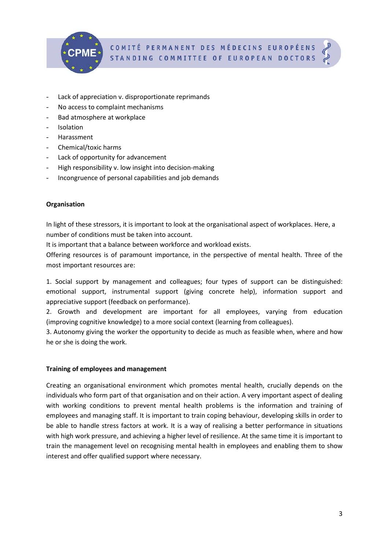

- Lack of appreciation v. disproportionate reprimands
- No access to complaint mechanisms
- Bad atmosphere at workplace
- **Isolation**
- Harassment
- Chemical/toxic harms
- Lack of opportunity for advancement
- High responsibility v. low insight into decision-making
- Incongruence of personal capabilities and job demands

## **Organisation**

In light of these stressors, it is important to look at the organisational aspect of workplaces. Here, a number of conditions must be taken into account.

It is important that a balance between workforce and workload exists.

Offering resources is of paramount importance, in the perspective of mental health. Three of the most important resources are:

1. Social support by management and colleagues; four types of support can be distinguished: emotional support, instrumental support (giving concrete help), information support and appreciative support (feedback on performance).

2. Growth and development are important for all employees, varying from education (improving cognitive knowledge) to a more social context (learning from colleagues).

3. Autonomy giving the worker the opportunity to decide as much as feasible when, where and how he or she is doing the work.

## **Training of employees and management**

Creating an organisational environment which promotes mental health, crucially depends on the individuals who form part of that organisation and on their action. A very important aspect of dealing with working conditions to prevent mental health problems is the information and training of employees and managing staff. It is important to train coping behaviour, developing skills in order to be able to handle stress factors at work. It is a way of realising a better performance in situations with high work pressure, and achieving a higher level of resilience. At the same time it is important to train the management level on recognising mental health in employees and enabling them to show interest and offer qualified support where necessary.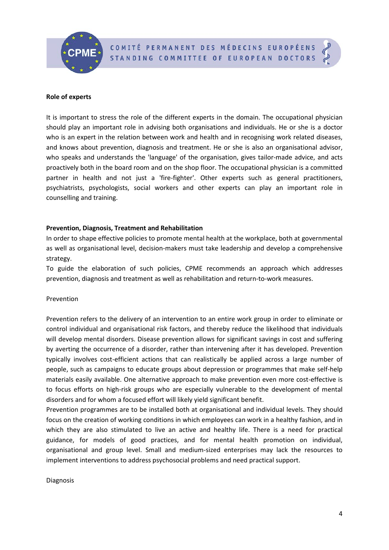COMITÉ PERMANENT DES MÉDECINS EUROPÉENS STANDING COMMITTEE OF EUROPEAN DOCTORS



#### **Role of experts**

It is important to stress the role of the different experts in the domain. The occupational physician should play an important role in advising both organisations and individuals. He or she is a doctor who is an expert in the relation between work and health and in recognising work related diseases, and knows about prevention, diagnosis and treatment. He or she is also an organisational advisor, who speaks and understands the 'language' of the organisation, gives tailor-made advice, and acts proactively both in the board room and on the shop floor. The occupational physician is a committed partner in health and not just a 'fire-fighter'. Other experts such as general practitioners, psychiatrists, psychologists, social workers and other experts can play an important role in counselling and training.

#### **Prevention, Diagnosis, Treatment and Rehabilitation**

In order to shape effective policies to promote mental health at the workplace, both at governmental as well as organisational level, decision-makers must take leadership and develop a comprehensive strategy.

To guide the elaboration of such policies, CPME recommends an approach which addresses prevention, diagnosis and treatment as well as rehabilitation and return-to-work measures.

#### Prevention

Prevention refers to the delivery of an intervention to an entire work group in order to eliminate or control individual and organisational risk factors, and thereby reduce the likelihood that individuals will develop mental disorders. Disease prevention allows for significant savings in cost and suffering by averting the occurrence of a disorder, rather than intervening after it has developed. Prevention typically involves cost-efficient actions that can realistically be applied across a large number of people, such as campaigns to educate groups about depression or programmes that make self-help materials easily available. One alternative approach to make prevention even more cost-effective is to focus efforts on high-risk groups who are especially vulnerable to the development of mental disorders and for whom a focused effort will likely yield significant benefit.

Prevention programmes are to be installed both at organisational and individual levels. They should focus on the creation of working conditions in which employees can work in a healthy fashion, and in which they are also stimulated to live an active and healthy life. There is a need for practical guidance, for models of good practices, and for mental health promotion on individual, organisational and group level. Small and medium-sized enterprises may lack the resources to implement interventions to address psychosocial problems and need practical support.

#### Diagnosis